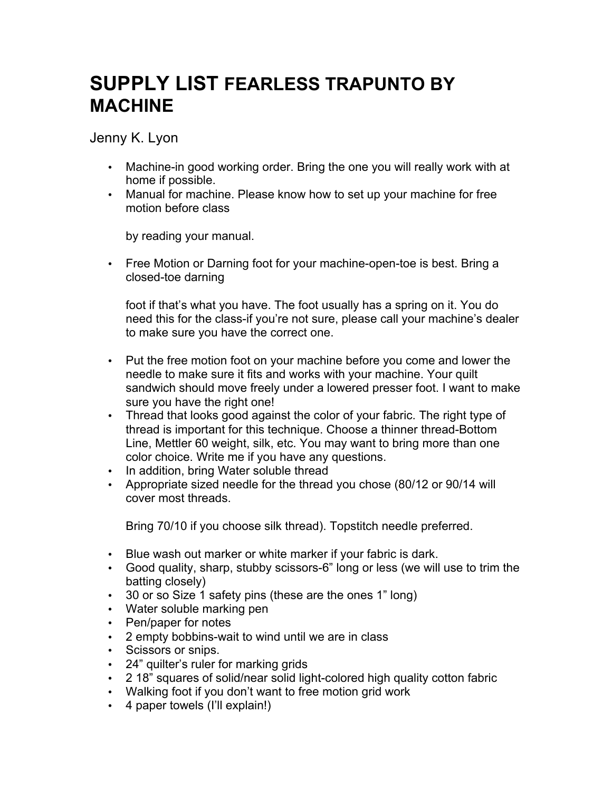## **SUPPLY LIST FEARLESS TRAPUNTO BY MACHINE**

Jenny K. Lyon

- Machine-in good working order. Bring the one you will really work with at home if possible.
- Manual for machine. Please know how to set up your machine for free motion before class

by reading your manual.

• Free Motion or Darning foot for your machine-open-toe is best. Bring a closed-toe darning

foot if that's what you have. The foot usually has a spring on it. You do need this for the class-if you're not sure, please call your machine's dealer to make sure you have the correct one.

- Put the free motion foot on your machine before you come and lower the needle to make sure it fits and works with your machine. Your quilt sandwich should move freely under a lowered presser foot. I want to make sure you have the right one!
- Thread that looks good against the color of your fabric. The right type of thread is important for this technique. Choose a thinner thread-Bottom Line, Mettler 60 weight, silk, etc. You may want to bring more than one color choice. Write me if you have any questions.
- In addition, bring Water soluble thread
- Appropriate sized needle for the thread you chose (80/12 or 90/14 will cover most threads.

Bring 70/10 if you choose silk thread). Topstitch needle preferred.

- Blue wash out marker or white marker if your fabric is dark.
- Good quality, sharp, stubby scissors-6" long or less (we will use to trim the batting closely)
- 30 or so Size 1 safety pins (these are the ones 1" long)
- Water soluble marking pen
- Pen/paper for notes
- 2 empty bobbins-wait to wind until we are in class
- Scissors or snips.
- 24" quilter's ruler for marking grids
- 2 18" squares of solid/near solid light-colored high quality cotton fabric
- Walking foot if you don't want to free motion grid work
- 4 paper towels (I'll explain!)